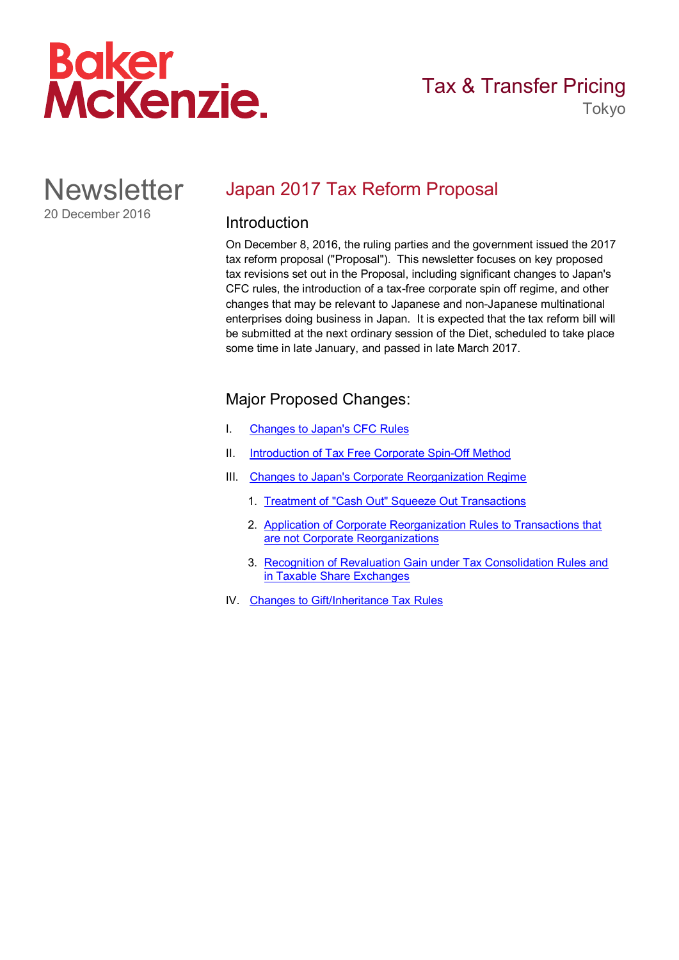

Tokyo

**Newsletter** 20 December 2016

# <span id="page-0-0"></span>Japan 2017 Tax Reform Proposal

## Introduction

On December 8, 2016, the ruling parties and the government issued the 2017 tax reform proposal ("Proposal"). This newsletter focuses on key proposed tax revisions set out in the Proposal, including significant changes to Japan's CFC rules, the introduction of a tax-free corporate spin off regime, and other changes that may be relevant to Japanese and non-Japanese multinational enterprises doing business in Japan. It is expected that the tax reform bill will be submitted at the next ordinary session of the Diet, scheduled to take place some time in late January, and passed in late March 2017.

## Major Proposed Changes:

- I. [Changes to Japan's CFC Rules](#page-1-0)
- II. [Introduction of Tax Free Corporate Spin-Off Method](#page-13-0)
- III. [Changes to Japan's Corporate Reorganization Regime](#page-15-0)
	- 1. [Treatment of "Cash Out" Squeeze Out Transactions](#page-15-1)
	- 2. [Application of Corporate Reorganization Rules to Transactions that](#page-15-2) [are not Corporate Reorganizations](#page-15-2)
	- 3. [Recognition of Revaluation Gain under Tax Consolidation Rules and](#page-16-0) [in Taxable Share Exchanges](#page-16-0)
- IV. [Changes to Gift/Inheritance Tax Rules](#page-17-0)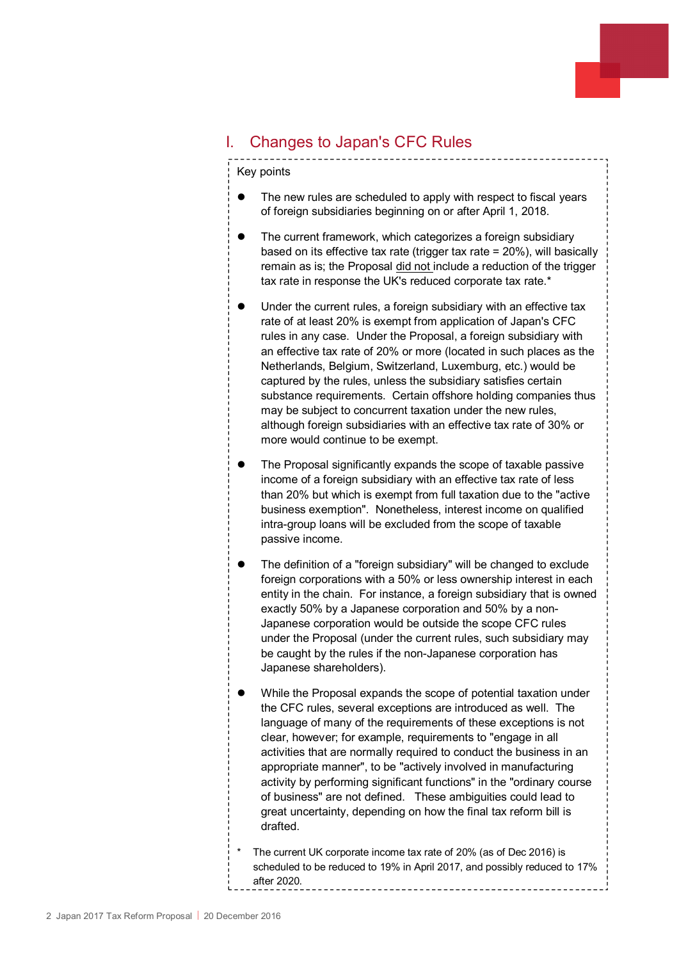# <span id="page-1-0"></span>I. Changes to Japan's CFC Rules

Key points

- The new rules are scheduled to apply with respect to fiscal years of foreign subsidiaries beginning on or after April 1, 2018.
- The current framework, which categorizes a foreign subsidiary based on its effective tax rate (trigger tax rate = 20%), will basically remain as is; the Proposal did not include a reduction of the trigger tax rate in response the UK's reduced corporate tax rate.\*
- Under the current rules, a foreign subsidiary with an effective tax rate of at least 20% is exempt from application of Japan's CFC rules in any case. Under the Proposal, a foreign subsidiary with an effective tax rate of 20% or more (located in such places as the Netherlands, Belgium, Switzerland, Luxemburg, etc.) would be captured by the rules, unless the subsidiary satisfies certain substance requirements. Certain offshore holding companies thus may be subject to concurrent taxation under the new rules, although foreign subsidiaries with an effective tax rate of 30% or more would continue to be exempt.
- The Proposal significantly expands the scope of taxable passive income of a foreign subsidiary with an effective tax rate of less than 20% but which is exempt from full taxation due to the "active business exemption". Nonetheless, interest income on qualified intra-group loans will be excluded from the scope of taxable passive income.
- The definition of a "foreign subsidiary" will be changed to exclude foreign corporations with a 50% or less ownership interest in each entity in the chain. For instance, a foreign subsidiary that is owned exactly 50% by a Japanese corporation and 50% by a non-Japanese corporation would be outside the scope CFC rules under the Proposal (under the current rules, such subsidiary may be caught by the rules if the non-Japanese corporation has Japanese shareholders).
- While the Proposal expands the scope of potential taxation under the CFC rules, several exceptions are introduced as well. The language of many of the requirements of these exceptions is not clear, however; for example, requirements to "engage in all activities that are normally required to conduct the business in an appropriate manner", to be "actively involved in manufacturing activity by performing significant functions" in the "ordinary course of business" are not defined. These ambiguities could lead to great uncertainty, depending on how the final tax reform bill is drafted.
- The current UK corporate income tax rate of 20% (as of Dec 2016) is scheduled to be reduced to 19% in April 2017, and possibly reduced to 17% after 2020.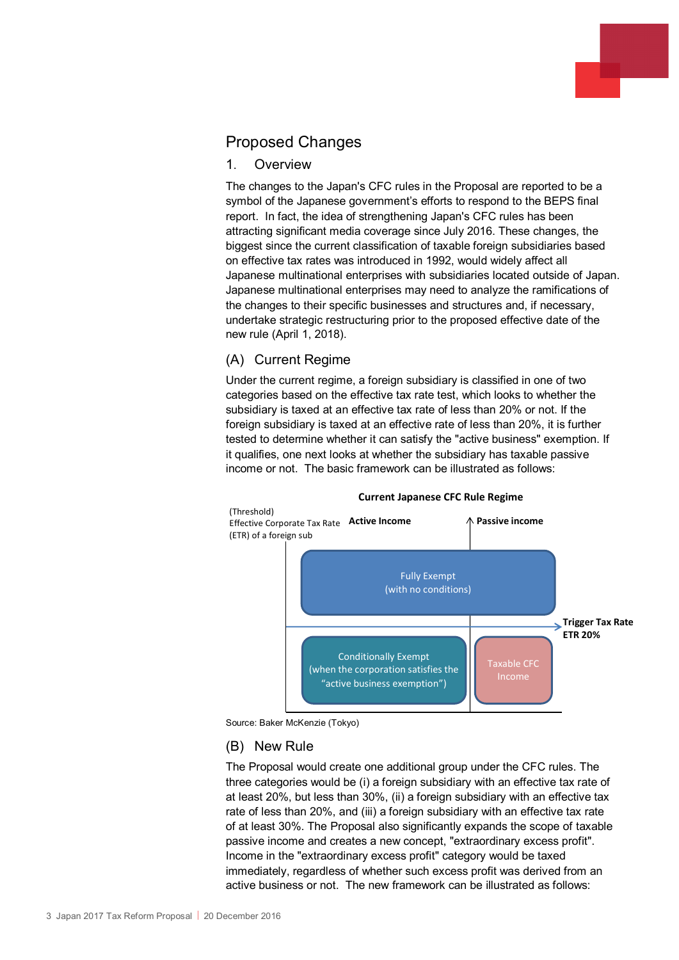# Proposed Changes

## 1. Overview

The changes to the Japan's CFC rules in the Proposal are reported to be a symbol of the Japanese government's efforts to respond to the BEPS final report. In fact, the idea of strengthening Japan's CFC rules has been attracting significant media coverage since July 2016. These changes, the biggest since the current classification of taxable foreign subsidiaries based on effective tax rates was introduced in 1992, would widely affect all Japanese multinational enterprises with subsidiaries located outside of Japan. Japanese multinational enterprises may need to analyze the ramifications of the changes to their specific businesses and structures and, if necessary, undertake strategic restructuring prior to the proposed effective date of the new rule (April 1, 2018).

## (A) Current Regime

Under the current regime, a foreign subsidiary is classified in one of two categories based on the effective tax rate test, which looks to whether the subsidiary is taxed at an effective tax rate of less than 20% or not. If the foreign subsidiary is taxed at an effective rate of less than 20%, it is further tested to determine whether it can satisfy the "active business" exemption. If it qualifies, one next looks at whether the subsidiary has taxable passive income or not. The basic framework can be illustrated as follows:



#### **Current Japanese CFC Rule Regime**

Source: Baker McKenzie (Tokyo)

## (B) New Rule

The Proposal would create one additional group under the CFC rules. The three categories would be (i) a foreign subsidiary with an effective tax rate of at least 20%, but less than 30%, (ii) a foreign subsidiary with an effective tax rate of less than 20%, and (iii) a foreign subsidiary with an effective tax rate of at least 30%. The Proposal also significantly expands the scope of taxable passive income and creates a new concept, "extraordinary excess profit". Income in the "extraordinary excess profit" category would be taxed immediately, regardless of whether such excess profit was derived from an active business or not. The new framework can be illustrated as follows: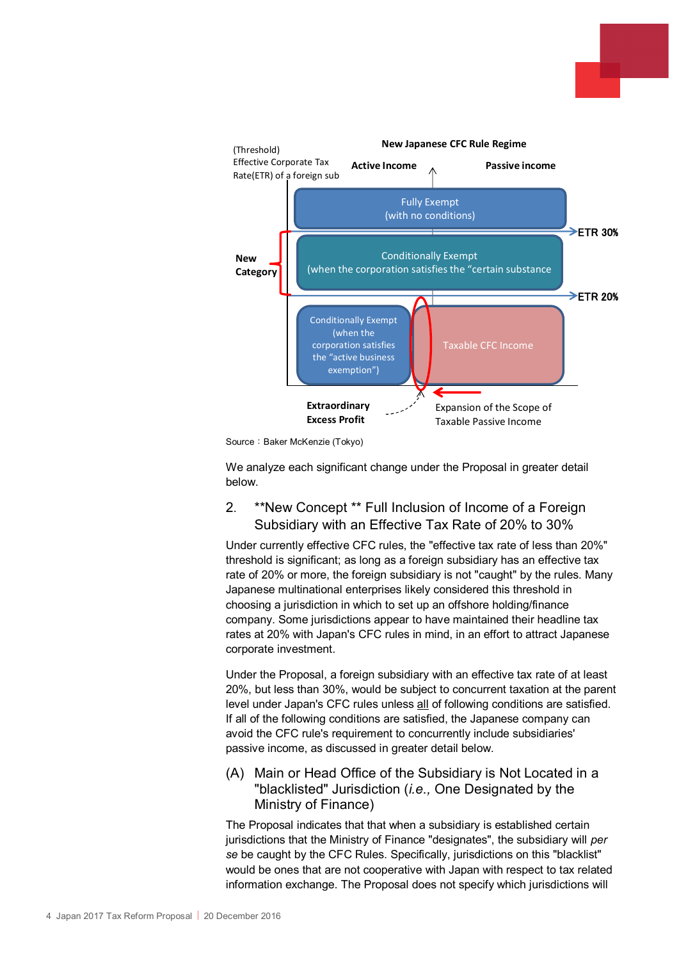

Source: Baker McKenzie (Tokyo)

We analyze each significant change under the Proposal in greater detail below.

## 2. \*\*New Concept \*\* Full Inclusion of Income of a Foreign Subsidiary with an Effective Tax Rate of 20% to 30%

Under currently effective CFC rules, the "effective tax rate of less than 20%" threshold is significant; as long as a foreign subsidiary has an effective tax rate of 20% or more, the foreign subsidiary is not "caught" by the rules. Many Japanese multinational enterprises likely considered this threshold in choosing a jurisdiction in which to set up an offshore holding/finance company. Some jurisdictions appear to have maintained their headline tax rates at 20% with Japan's CFC rules in mind, in an effort to attract Japanese corporate investment.

Under the Proposal, a foreign subsidiary with an effective tax rate of at least 20%, but less than 30%, would be subject to concurrent taxation at the parent level under Japan's CFC rules unless all of following conditions are satisfied. If all of the following conditions are satisfied, the Japanese company can avoid the CFC rule's requirement to concurrently include subsidiaries' passive income, as discussed in greater detail below.

(A) Main or Head Office of the Subsidiary is Not Located in a "blacklisted" Jurisdiction (*i.e.,* One Designated by the Ministry of Finance)

The Proposal indicates that that when a subsidiary is established certain jurisdictions that the Ministry of Finance "designates", the subsidiary will *per se* be caught by the CFC Rules. Specifically, jurisdictions on this "blacklist" would be ones that are not cooperative with Japan with respect to tax related information exchange. The Proposal does not specify which jurisdictions will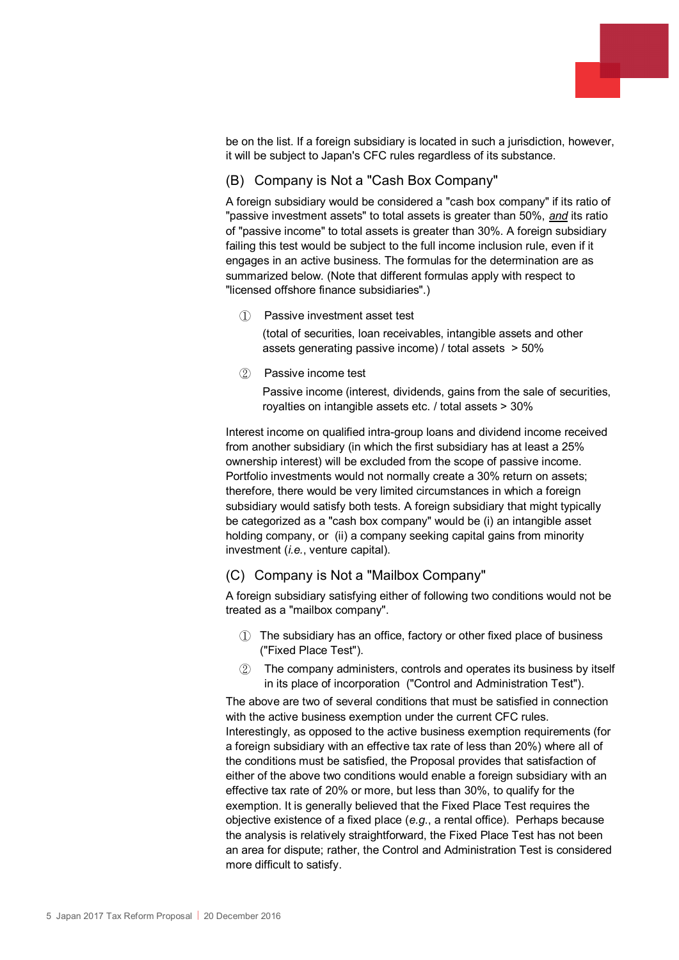

be on the list. If a foreign subsidiary is located in such a jurisdiction, however, it will be subject to Japan's CFC rules regardless of its substance.

## (B) Company is Not a "Cash Box Company"

A foreign subsidiary would be considered a "cash box company" if its ratio of "passive investment assets" to total assets is greater than 50%, *and* its ratio of "passive income" to total assets is greater than 30%. A foreign subsidiary failing this test would be subject to the full income inclusion rule, even if it engages in an active business. The formulas for the determination are as summarized below. (Note that different formulas apply with respect to "licensed offshore finance subsidiaries".)

① Passive investment asset test

(total of securities, loan receivables, intangible assets and other assets generating passive income) / total assets > 50%

② Passive income test

Passive income (interest, dividends, gains from the sale of securities, royalties on intangible assets etc. / total assets > 30%

Interest income on qualified intra-group loans and dividend income received from another subsidiary (in which the first subsidiary has at least a 25% ownership interest) will be excluded from the scope of passive income. Portfolio investments would not normally create a 30% return on assets; therefore, there would be very limited circumstances in which a foreign subsidiary would satisfy both tests. A foreign subsidiary that might typically be categorized as a "cash box company" would be (i) an intangible asset holding company, or (ii) a company seeking capital gains from minority investment (*i.e.*, venture capital).

## (C) Company is Not a "Mailbox Company"

A foreign subsidiary satisfying either of following two conditions would not be treated as a "mailbox company".

- ① The subsidiary has an office, factory or other fixed place of business ("Fixed Place Test").
- ② The company administers, controls and operates its business by itself in its place of incorporation ("Control and Administration Test").

The above are two of several conditions that must be satisfied in connection with the active business exemption under the current CFC rules. Interestingly, as opposed to the active business exemption requirements (for a foreign subsidiary with an effective tax rate of less than 20%) where all of the conditions must be satisfied, the Proposal provides that satisfaction of either of the above two conditions would enable a foreign subsidiary with an effective tax rate of 20% or more, but less than 30%, to qualify for the exemption. It is generally believed that the Fixed Place Test requires the objective existence of a fixed place (*e.g.*, a rental office). Perhaps because the analysis is relatively straightforward, the Fixed Place Test has not been an area for dispute; rather, the Control and Administration Test is considered more difficult to satisfy.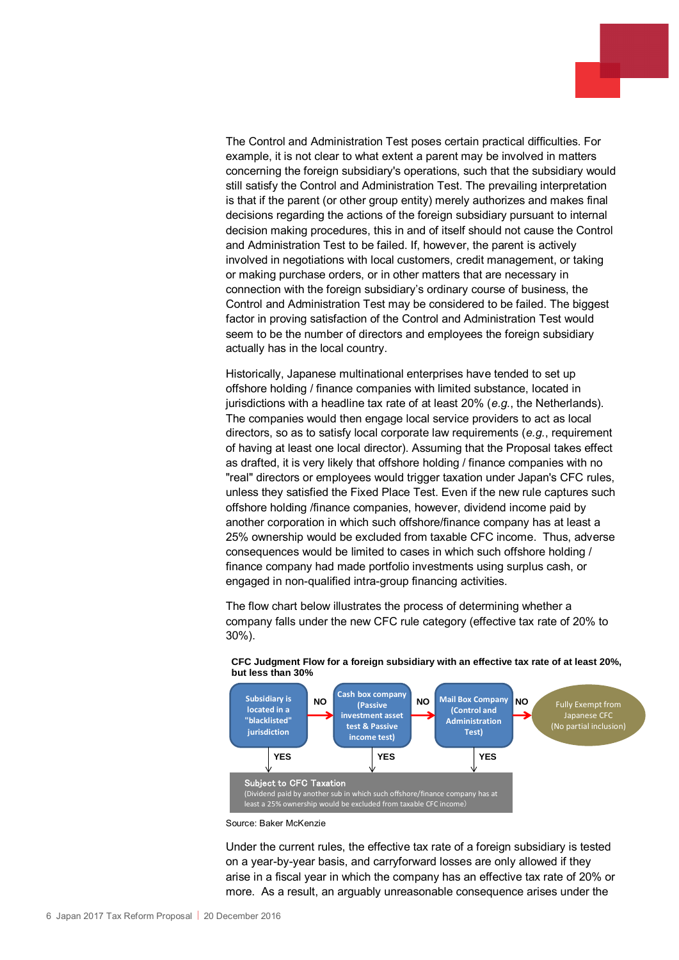The Control and Administration Test poses certain practical difficulties. For example, it is not clear to what extent a parent may be involved in matters concerning the foreign subsidiary's operations, such that the subsidiary would still satisfy the Control and Administration Test. The prevailing interpretation is that if the parent (or other group entity) merely authorizes and makes final decisions regarding the actions of the foreign subsidiary pursuant to internal decision making procedures, this in and of itself should not cause the Control and Administration Test to be failed. If, however, the parent is actively involved in negotiations with local customers, credit management, or taking or making purchase orders, or in other matters that are necessary in connection with the foreign subsidiary's ordinary course of business, the Control and Administration Test may be considered to be failed. The biggest factor in proving satisfaction of the Control and Administration Test would seem to be the number of directors and employees the foreign subsidiary actually has in the local country.

Historically, Japanese multinational enterprises have tended to set up offshore holding / finance companies with limited substance, located in jurisdictions with a headline tax rate of at least 20% (*e.g.*, the Netherlands). The companies would then engage local service providers to act as local directors, so as to satisfy local corporate law requirements (*e.g.*, requirement of having at least one local director). Assuming that the Proposal takes effect as drafted, it is very likely that offshore holding / finance companies with no "real" directors or employees would trigger taxation under Japan's CFC rules, unless they satisfied the Fixed Place Test. Even if the new rule captures such offshore holding /finance companies, however, dividend income paid by another corporation in which such offshore/finance company has at least a 25% ownership would be excluded from taxable CFC income. Thus, adverse consequences would be limited to cases in which such offshore holding / finance company had made portfolio investments using surplus cash, or engaged in non-qualified intra-group financing activities.

The flow chart below illustrates the process of determining whether a company falls under the new CFC rule category (effective tax rate of 20% to 30%).



#### **CFC Judgment Flow for a foreign subsidiary with an effective tax rate of at least 20%, but less than 30%**

Source: Baker McKenzie

Under the current rules, the effective tax rate of a foreign subsidiary is tested on a year-by-year basis, and carryforward losses are only allowed if they arise in a fiscal year in which the company has an effective tax rate of 20% or more. As a result, an arguably unreasonable consequence arises under the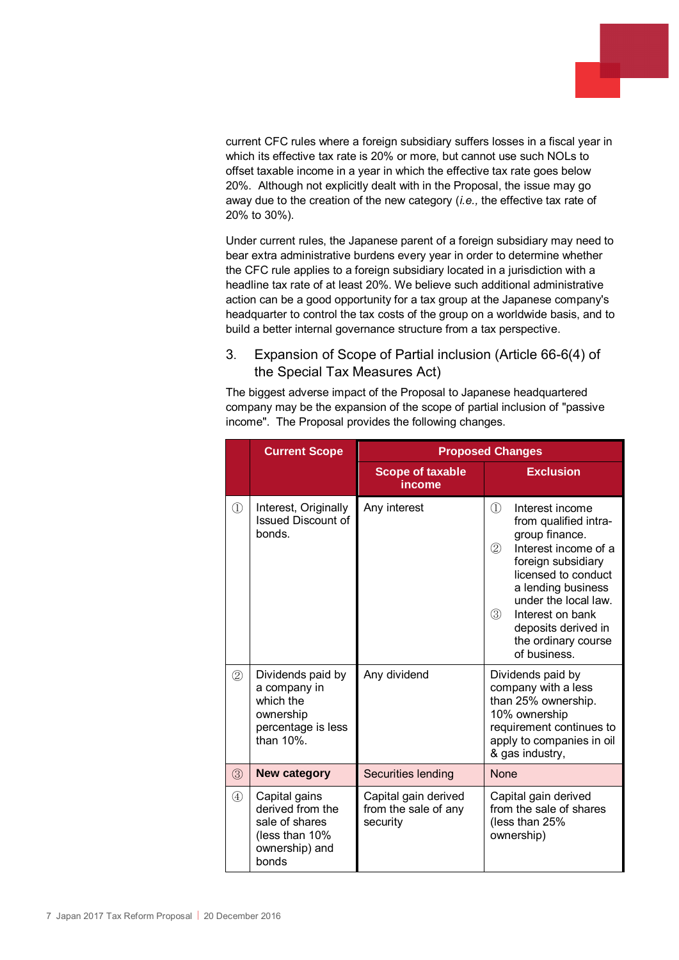

current CFC rules where a foreign subsidiary suffers losses in a fiscal year in which its effective tax rate is 20% or more, but cannot use such NOLs to offset taxable income in a year in which the effective tax rate goes below 20%. Although not explicitly dealt with in the Proposal, the issue may go away due to the creation of the new category (*i.e.,* the effective tax rate of 20% to 30%).

Under current rules, the Japanese parent of a foreign subsidiary may need to bear extra administrative burdens every year in order to determine whether the CFC rule applies to a foreign subsidiary located in a jurisdiction with a headline tax rate of at least 20%. We believe such additional administrative action can be a good opportunity for a tax group at the Japanese company's headquarter to control the tax costs of the group on a worldwide basis, and to build a better internal governance structure from a tax perspective.

## 3. Expansion of Scope of Partial inclusion (Article 66-6(4) of the Special Tax Measures Act)

The biggest adverse impact of the Proposal to Japanese headquartered company may be the expansion of the scope of partial inclusion of "passive income". The Proposal provides the following changes.

|               | <b>Current Scope</b>                                                                               | <b>Proposed Changes</b>                                  |                                                                                                                                                                                                                                                                                                                     |  |  |  |
|---------------|----------------------------------------------------------------------------------------------------|----------------------------------------------------------|---------------------------------------------------------------------------------------------------------------------------------------------------------------------------------------------------------------------------------------------------------------------------------------------------------------------|--|--|--|
|               |                                                                                                    | <b>Scope of taxable</b><br><b>income</b>                 | <b>Exclusion</b>                                                                                                                                                                                                                                                                                                    |  |  |  |
| $\mathbb{O}$  | Interest, Originally<br><b>Issued Discount of</b><br>bonds.                                        | Any interest                                             | $\mathcal{D}$<br>Interest income<br>from qualified intra-<br>group finance.<br>$^{\circledR}$<br>Interest income of a<br>foreign subsidiary<br>licensed to conduct<br>a lending business<br>under the local law.<br>$\circled{3}$<br>Interest on bank<br>deposits derived in<br>the ordinary course<br>of business. |  |  |  |
| (2)           | Dividends paid by<br>a company in<br>which the<br>ownership<br>percentage is less<br>than $10\%$ . | Any dividend                                             | Dividends paid by<br>company with a less<br>than 25% ownership.<br>10% ownership<br>requirement continues to<br>apply to companies in oil<br>& gas industry,                                                                                                                                                        |  |  |  |
| $\circled{3}$ | <b>New category</b>                                                                                | Securities lending                                       | <b>None</b>                                                                                                                                                                                                                                                                                                         |  |  |  |
| $\circled{4}$ | Capital gains<br>derived from the<br>sale of shares<br>(less than 10%<br>ownership) and<br>bonds   | Capital gain derived<br>from the sale of any<br>security | Capital gain derived<br>from the sale of shares<br>(less than 25%<br>ownership)                                                                                                                                                                                                                                     |  |  |  |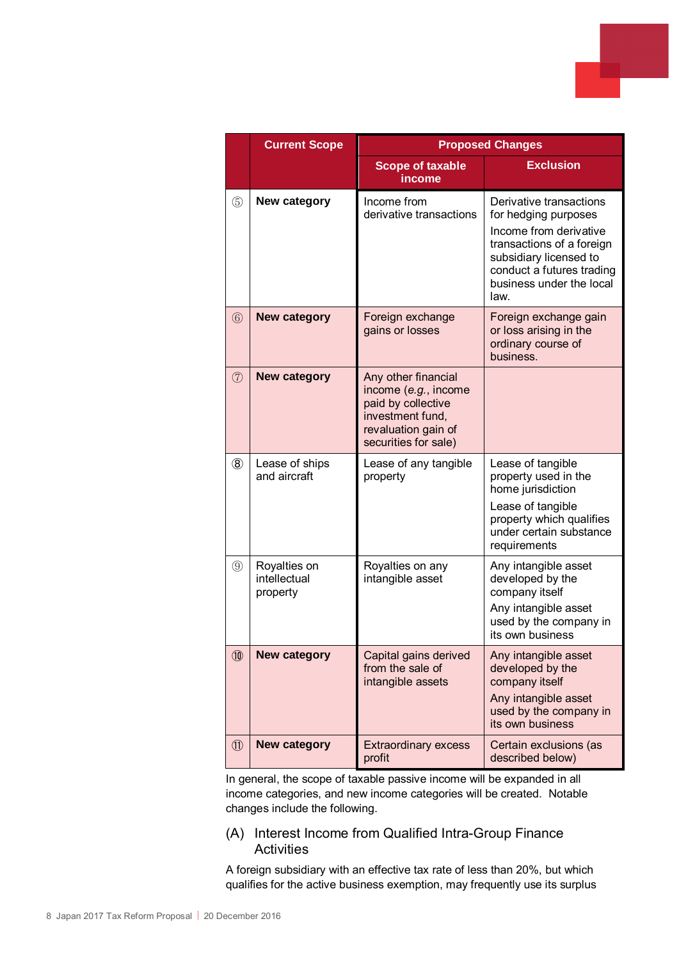|                | <b>Current Scope</b>                     | <b>Proposed Changes</b>                                                                                                              |                                                                                                                                                                                                   |  |  |
|----------------|------------------------------------------|--------------------------------------------------------------------------------------------------------------------------------------|---------------------------------------------------------------------------------------------------------------------------------------------------------------------------------------------------|--|--|
|                |                                          | <b>Scope of taxable</b><br>income                                                                                                    | <b>Exclusion</b>                                                                                                                                                                                  |  |  |
| $\circledS$    | New category                             | Income from<br>derivative transactions                                                                                               | Derivative transactions<br>for hedging purposes<br>Income from derivative<br>transactions of a foreign<br>subsidiary licensed to<br>conduct a futures trading<br>business under the local<br>law. |  |  |
| $\circledS$    | <b>New category</b>                      | Foreign exchange<br>gains or losses                                                                                                  | Foreign exchange gain<br>or loss arising in the<br>ordinary course of<br>business.                                                                                                                |  |  |
| $\circled{7}$  | <b>New category</b>                      | Any other financial<br>income (e.g., income<br>paid by collective<br>investment fund,<br>revaluation gain of<br>securities for sale) |                                                                                                                                                                                                   |  |  |
| $\circledR$    | Lease of ships<br>and aircraft           | Lease of any tangible<br>property                                                                                                    | Lease of tangible<br>property used in the<br>home jurisdiction<br>Lease of tangible<br>property which qualifies<br>under certain substance<br>requirements                                        |  |  |
| $\circled{9}$  | Royalties on<br>intellectual<br>property | Royalties on any<br>intangible asset                                                                                                 | Any intangible asset<br>developed by the<br>company itself<br>Any intangible asset<br>used by the company in<br>its own business                                                                  |  |  |
| <b>10</b>      | <b>New category</b>                      | Capital gains derived<br>from the sale of<br>intangible assets                                                                       | Any intangible asset<br>developed by the<br>company itself<br>Any intangible asset<br>used by the company in<br>its own business                                                                  |  |  |
| $^{\circledR}$ | <b>New category</b>                      | <b>Extraordinary excess</b><br>profit                                                                                                | Certain exclusions (as<br>described below)                                                                                                                                                        |  |  |

In general, the scope of taxable passive income will be expanded in all income categories, and new income categories will be created. Notable changes include the following.

(A) Interest Income from Qualified Intra-Group Finance **Activities** 

A foreign subsidiary with an effective tax rate of less than 20%, but which qualifies for the active business exemption, may frequently use its surplus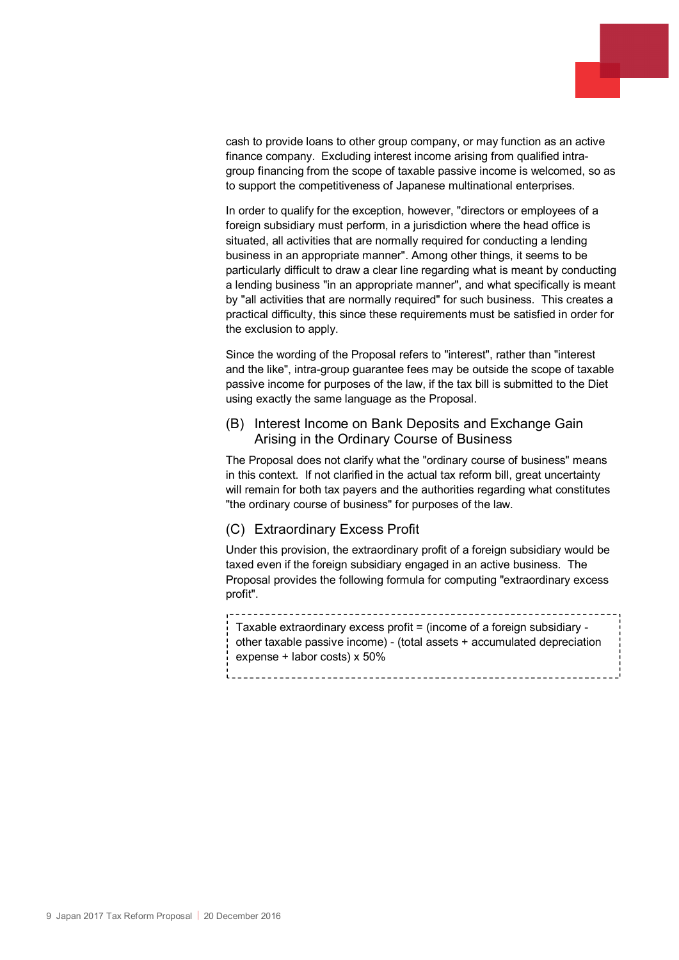

cash to provide loans to other group company, or may function as an active finance company. Excluding interest income arising from qualified intragroup financing from the scope of taxable passive income is welcomed, so as to support the competitiveness of Japanese multinational enterprises.

In order to qualify for the exception, however, "directors or employees of a foreign subsidiary must perform, in a jurisdiction where the head office is situated, all activities that are normally required for conducting a lending business in an appropriate manner". Among other things, it seems to be particularly difficult to draw a clear line regarding what is meant by conducting a lending business "in an appropriate manner", and what specifically is meant by "all activities that are normally required" for such business. This creates a practical difficulty, this since these requirements must be satisfied in order for the exclusion to apply.

Since the wording of the Proposal refers to "interest", rather than "interest and the like", intra-group guarantee fees may be outside the scope of taxable passive income for purposes of the law, if the tax bill is submitted to the Diet using exactly the same language as the Proposal.

### (B) Interest Income on Bank Deposits and Exchange Gain Arising in the Ordinary Course of Business

The Proposal does not clarify what the "ordinary course of business" means in this context. If not clarified in the actual tax reform bill, great uncertainty will remain for both tax payers and the authorities regarding what constitutes "the ordinary course of business" for purposes of the law.

## (C) Extraordinary Excess Profit

Under this provision, the extraordinary profit of a foreign subsidiary would be taxed even if the foreign subsidiary engaged in an active business. The Proposal provides the following formula for computing "extraordinary excess profit".

Taxable extraordinary excess profit = (income of a foreign subsidiary other taxable passive income) - (total assets + accumulated depreciation expense + labor costs) x 50%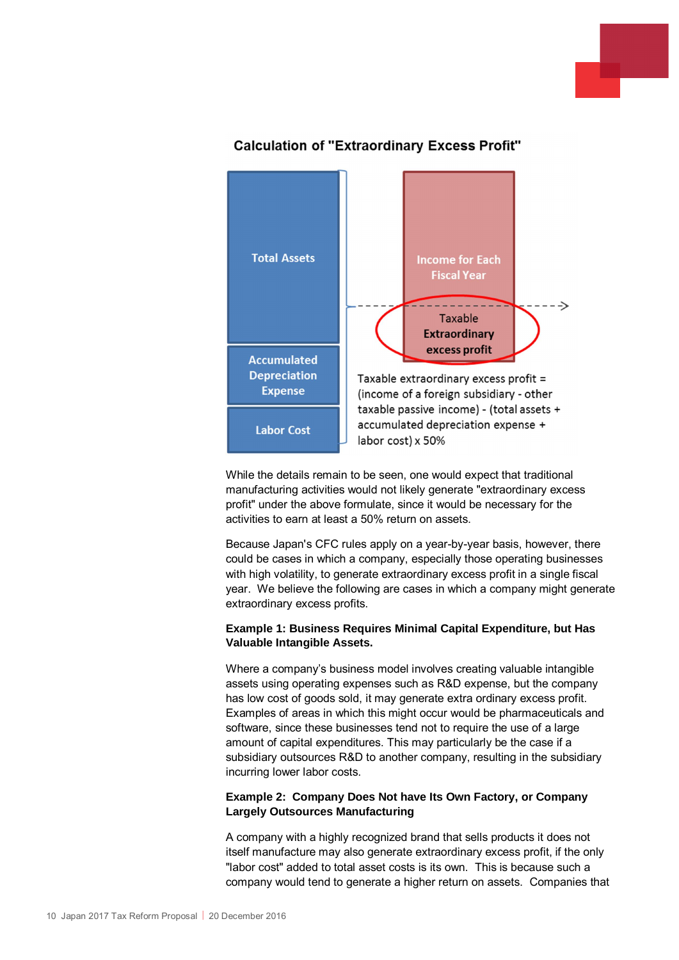



## **Calculation of "Extraordinary Excess Profit"**

While the details remain to be seen, one would expect that traditional manufacturing activities would not likely generate "extraordinary excess profit" under the above formulate, since it would be necessary for the activities to earn at least a 50% return on assets.

Because Japan's CFC rules apply on a year-by-year basis, however, there could be cases in which a company, especially those operating businesses with high volatility, to generate extraordinary excess profit in a single fiscal year. We believe the following are cases in which a company might generate extraordinary excess profits.

#### **Example 1: Business Requires Minimal Capital Expenditure, but Has Valuable Intangible Assets.**

Where a company's business model involves creating valuable intangible assets using operating expenses such as R&D expense, but the company has low cost of goods sold, it may generate extra ordinary excess profit. Examples of areas in which this might occur would be pharmaceuticals and software, since these businesses tend not to require the use of a large amount of capital expenditures. This may particularly be the case if a subsidiary outsources R&D to another company, resulting in the subsidiary incurring lower labor costs.

#### **Example 2: Company Does Not have Its Own Factory, or Company Largely Outsources Manufacturing**

A company with a highly recognized brand that sells products it does not itself manufacture may also generate extraordinary excess profit, if the only "labor cost" added to total asset costs is its own. This is because such a company would tend to generate a higher return on assets. Companies that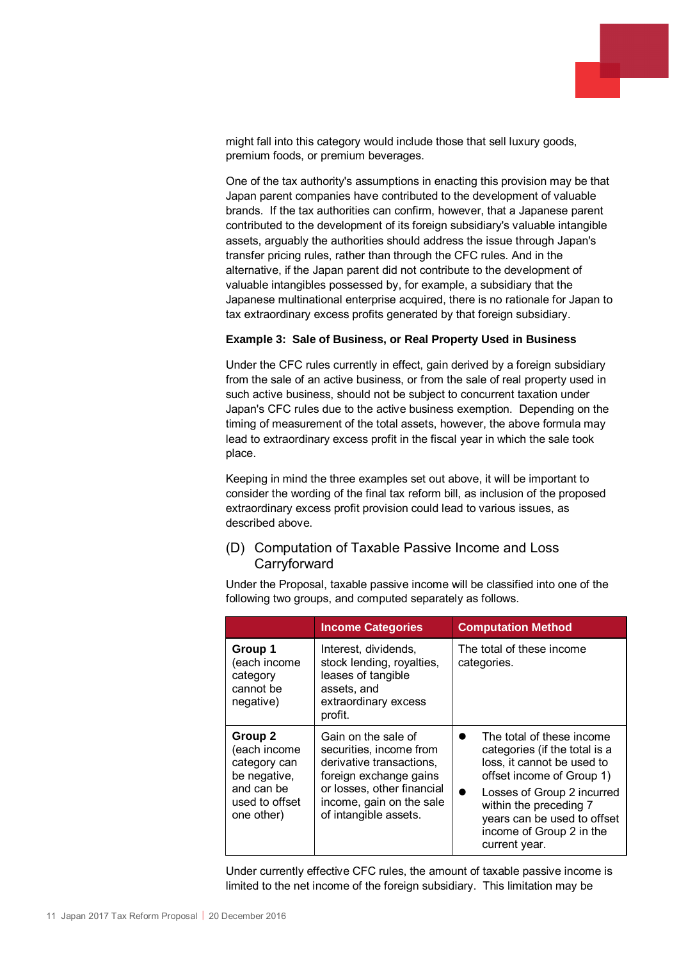might fall into this category would include those that sell luxury goods, premium foods, or premium beverages.

One of the tax authority's assumptions in enacting this provision may be that Japan parent companies have contributed to the development of valuable brands. If the tax authorities can confirm, however, that a Japanese parent contributed to the development of its foreign subsidiary's valuable intangible assets, arguably the authorities should address the issue through Japan's transfer pricing rules, rather than through the CFC rules. And in the alternative, if the Japan parent did not contribute to the development of valuable intangibles possessed by, for example, a subsidiary that the Japanese multinational enterprise acquired, there is no rationale for Japan to tax extraordinary excess profits generated by that foreign subsidiary.

#### **Example 3: Sale of Business, or Real Property Used in Business**

Under the CFC rules currently in effect, gain derived by a foreign subsidiary from the sale of an active business, or from the sale of real property used in such active business, should not be subject to concurrent taxation under Japan's CFC rules due to the active business exemption. Depending on the timing of measurement of the total assets, however, the above formula may lead to extraordinary excess profit in the fiscal year in which the sale took place.

Keeping in mind the three examples set out above, it will be important to consider the wording of the final tax reform bill, as inclusion of the proposed extraordinary excess profit provision could lead to various issues, as described above.

### (D) Computation of Taxable Passive Income and Loss **Carryforward**

Under the Proposal, taxable passive income will be classified into one of the following two groups, and computed separately as follows.

|                                                                                                       | <b>Income Categories</b>                                                                                                                                                                | <b>Computation Method</b>                                                                                                                                                                                                                                 |  |  |
|-------------------------------------------------------------------------------------------------------|-----------------------------------------------------------------------------------------------------------------------------------------------------------------------------------------|-----------------------------------------------------------------------------------------------------------------------------------------------------------------------------------------------------------------------------------------------------------|--|--|
| Group 1<br>(each income<br>category<br>cannot be<br>negative)                                         | Interest, dividends,<br>stock lending, royalties,<br>leases of tangible<br>assets, and<br>extraordinary excess<br>profit.                                                               | The total of these income<br>categories.                                                                                                                                                                                                                  |  |  |
| Group 2<br>(each income<br>category can<br>be negative,<br>and can be<br>used to offset<br>one other) | Gain on the sale of<br>securities, income from<br>derivative transactions,<br>foreign exchange gains<br>or losses, other financial<br>income, gain on the sale<br>of intangible assets. | The total of these income<br>categories (if the total is a<br>loss, it cannot be used to<br>offset income of Group 1)<br>Losses of Group 2 incurred<br>within the preceding 7<br>years can be used to offset<br>income of Group 2 in the<br>current year. |  |  |

Under currently effective CFC rules, the amount of taxable passive income is limited to the net income of the foreign subsidiary. This limitation may be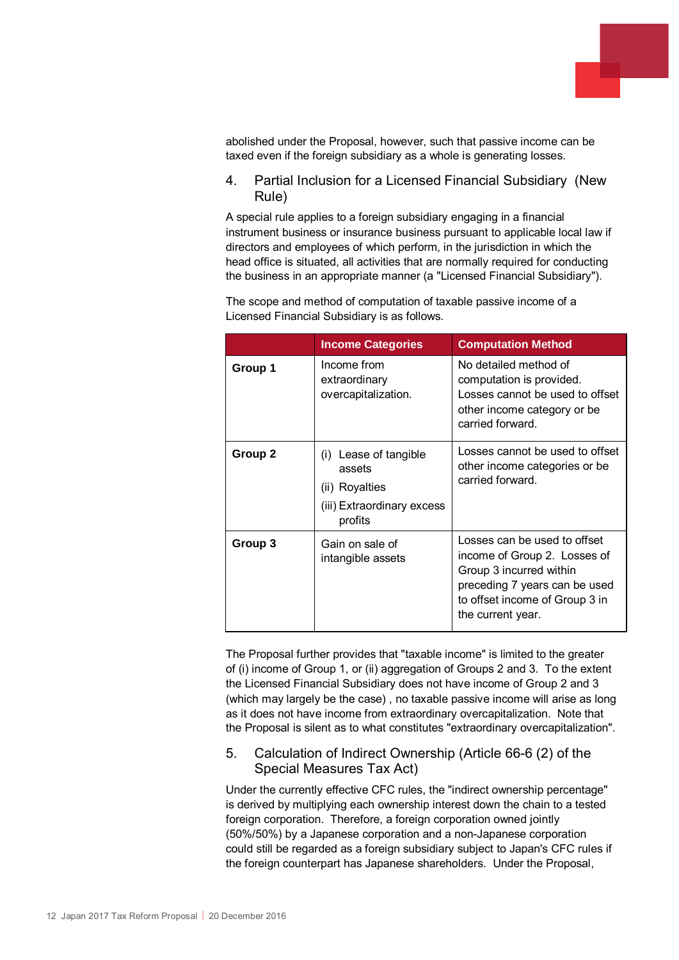

abolished under the Proposal, however, such that passive income can be taxed even if the foreign subsidiary as a whole is generating losses.

## 4. Partial Inclusion for a Licensed Financial Subsidiary (New Rule)

A special rule applies to a foreign subsidiary engaging in a financial instrument business or insurance business pursuant to applicable local law if directors and employees of which perform, in the jurisdiction in which the head office is situated, all activities that are normally required for conducting the business in an appropriate manner (a "Licensed Financial Subsidiary").

The scope and method of computation of taxable passive income of a Licensed Financial Subsidiary is as follows.

|                                                                                                       | <b>Income Categories</b>                            | <b>Computation Method</b>                                                                                                                                                       |  |  |
|-------------------------------------------------------------------------------------------------------|-----------------------------------------------------|---------------------------------------------------------------------------------------------------------------------------------------------------------------------------------|--|--|
| Group 1                                                                                               | Income from<br>extraordinary<br>overcapitalization. | No detailed method of<br>computation is provided.<br>Losses cannot be used to offset<br>other income category or be<br>carried forward.                                         |  |  |
| Group 2<br>(i) Lease of tangible<br>assets<br>(ii) Royalties<br>(iii) Extraordinary excess<br>profits |                                                     | Losses cannot be used to offset<br>other income categories or be<br>carried forward.                                                                                            |  |  |
| Group 3                                                                                               | Gain on sale of<br>intangible assets                | Losses can be used to offset<br>income of Group 2. Losses of<br>Group 3 incurred within<br>preceding 7 years can be used<br>to offset income of Group 3 in<br>the current year. |  |  |

The Proposal further provides that "taxable income" is limited to the greater of (i) income of Group 1, or (ii) aggregation of Groups 2 and 3. To the extent the Licensed Financial Subsidiary does not have income of Group 2 and 3 (which may largely be the case) , no taxable passive income will arise as long as it does not have income from extraordinary overcapitalization. Note that the Proposal is silent as to what constitutes "extraordinary overcapitalization".

## 5. Calculation of Indirect Ownership (Article 66-6 (2) of the Special Measures Tax Act)

Under the currently effective CFC rules, the "indirect ownership percentage" is derived by multiplying each ownership interest down the chain to a tested foreign corporation. Therefore, a foreign corporation owned jointly (50%/50%) by a Japanese corporation and a non-Japanese corporation could still be regarded as a foreign subsidiary subject to Japan's CFC rules if the foreign counterpart has Japanese shareholders. Under the Proposal,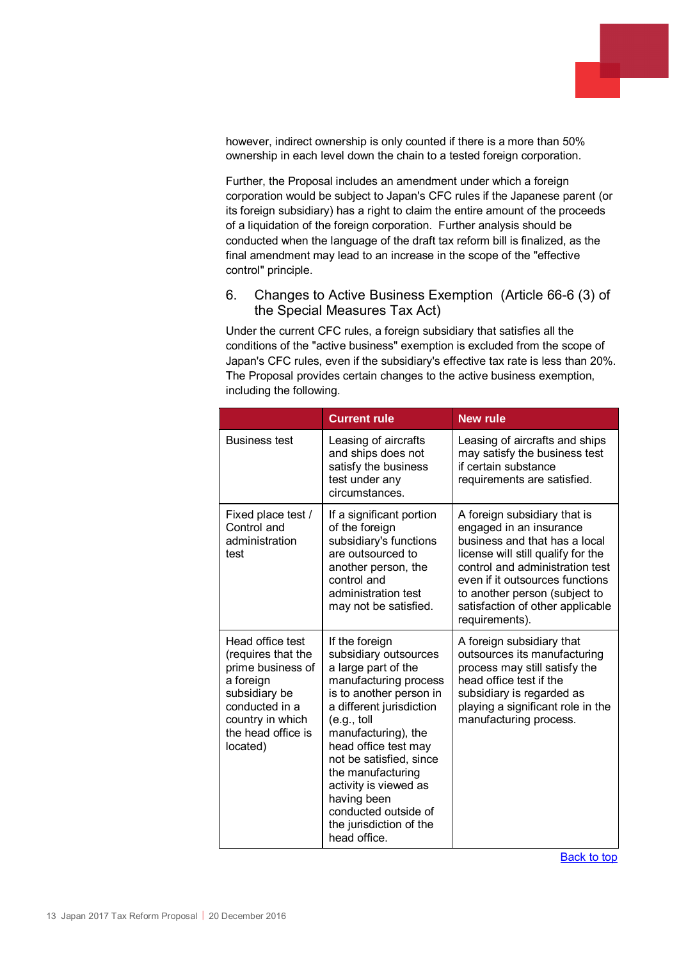

however, indirect ownership is only counted if there is a more than 50% ownership in each level down the chain to a tested foreign corporation.

Further, the Proposal includes an amendment under which a foreign corporation would be subject to Japan's CFC rules if the Japanese parent (or its foreign subsidiary) has a right to claim the entire amount of the proceeds of a liquidation of the foreign corporation. Further analysis should be conducted when the language of the draft tax reform bill is finalized, as the final amendment may lead to an increase in the scope of the "effective control" principle.

6. Changes to Active Business Exemption (Article 66-6 (3) of the Special Measures Tax Act)

Under the current CFC rules, a foreign subsidiary that satisfies all the conditions of the "active business" exemption is excluded from the scope of Japan's CFC rules, even if the subsidiary's effective tax rate is less than 20%. The Proposal provides certain changes to the active business exemption, including the following.

|                                                                                                                                                                   | <b>Current rule</b>                                                                                                                                                                                                                                                                                                                                                      | <b>New rule</b>                                                                                                                                                                                                                                                                             |
|-------------------------------------------------------------------------------------------------------------------------------------------------------------------|--------------------------------------------------------------------------------------------------------------------------------------------------------------------------------------------------------------------------------------------------------------------------------------------------------------------------------------------------------------------------|---------------------------------------------------------------------------------------------------------------------------------------------------------------------------------------------------------------------------------------------------------------------------------------------|
| <b>Business test</b>                                                                                                                                              | Leasing of aircrafts<br>and ships does not<br>satisfy the business<br>test under any<br>circumstances.                                                                                                                                                                                                                                                                   | Leasing of aircrafts and ships<br>may satisfy the business test<br>if certain substance<br>requirements are satisfied.                                                                                                                                                                      |
| Fixed place test /<br>Control and<br>administration<br>test                                                                                                       | If a significant portion<br>of the foreign<br>subsidiary's functions<br>are outsourced to<br>another person, the<br>control and<br>administration test<br>may not be satisfied.                                                                                                                                                                                          | A foreign subsidiary that is<br>engaged in an insurance<br>business and that has a local<br>license will still qualify for the<br>control and administration test<br>even if it outsources functions<br>to another person (subject to<br>satisfaction of other applicable<br>requirements). |
| Head office test<br>(requires that the<br>prime business of<br>a foreign<br>subsidiary be<br>conducted in a<br>country in which<br>the head office is<br>located) | If the foreign<br>subsidiary outsources<br>a large part of the<br>manufacturing process<br>is to another person in<br>a different jurisdiction<br>(e.g., toll)<br>manufacturing), the<br>head office test may<br>not be satisfied, since<br>the manufacturing<br>activity is viewed as<br>having been<br>conducted outside of<br>the jurisdiction of the<br>head office. | A foreign subsidiary that<br>outsources its manufacturing<br>process may still satisfy the<br>head office test if the<br>subsidiary is regarded as<br>playing a significant role in the<br>manufacturing process.                                                                           |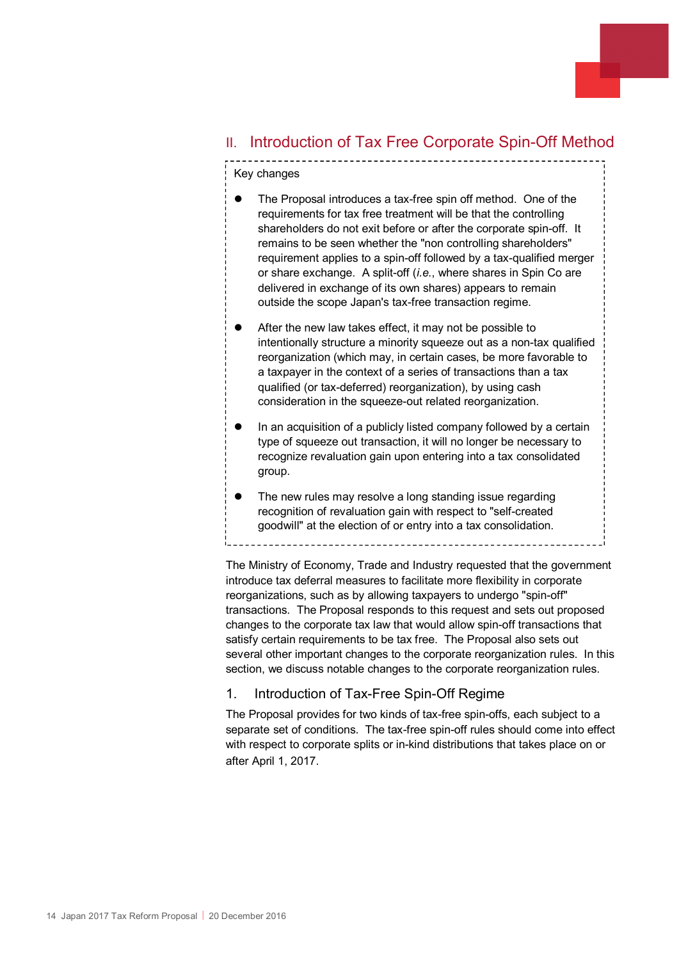## <span id="page-13-0"></span>II. Introduction of Tax Free Corporate Spin-Off Method

## Key changes

- The Proposal introduces a tax-free spin off method. One of the requirements for tax free treatment will be that the controlling shareholders do not exit before or after the corporate spin-off. It remains to be seen whether the "non controlling shareholders" requirement applies to a spin-off followed by a tax-qualified merger or share exchange. A split-off (*i.e.*, where shares in Spin Co are delivered in exchange of its own shares) appears to remain outside the scope Japan's tax-free transaction regime.
- After the new law takes effect, it may not be possible to intentionally structure a minority squeeze out as a non-tax qualified reorganization (which may, in certain cases, be more favorable to a taxpayer in the context of a series of transactions than a tax qualified (or tax-deferred) reorganization), by using cash consideration in the squeeze-out related reorganization.
- In an acquisition of a publicly listed company followed by a certain type of squeeze out transaction, it will no longer be necessary to recognize revaluation gain upon entering into a tax consolidated group.
- The new rules may resolve a long standing issue regarding recognition of revaluation gain with respect to "self-created goodwill" at the election of or entry into a tax consolidation.

The Ministry of Economy, Trade and Industry requested that the government introduce tax deferral measures to facilitate more flexibility in corporate reorganizations, such as by allowing taxpayers to undergo "spin-off" transactions. The Proposal responds to this request and sets out proposed changes to the corporate tax law that would allow spin-off transactions that satisfy certain requirements to be tax free. The Proposal also sets out several other important changes to the corporate reorganization rules. In this section, we discuss notable changes to the corporate reorganization rules.

## 1. Introduction of Tax-Free Spin-Off Regime

The Proposal provides for two kinds of tax-free spin-offs, each subject to a separate set of conditions. The tax-free spin-off rules should come into effect with respect to corporate splits or in-kind distributions that takes place on or after April 1, 2017.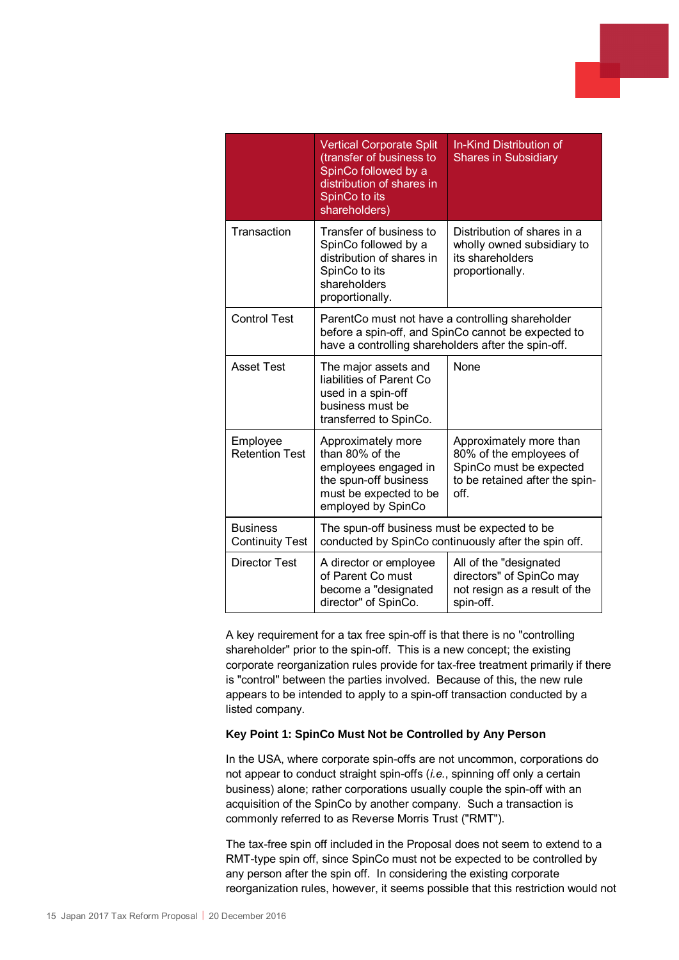|                                           | <b>Vertical Corporate Split</b><br>(transfer of business to<br>SpinCo followed by a<br>distribution of shares in<br>SpinCo to its<br>shareholders)             | <b>In-Kind Distribution of</b><br><b>Shares in Subsidiary</b>                                                           |  |
|-------------------------------------------|----------------------------------------------------------------------------------------------------------------------------------------------------------------|-------------------------------------------------------------------------------------------------------------------------|--|
| Transaction                               | Transfer of business to<br>SpinCo followed by a<br>distribution of shares in<br>SpinCo to its<br>shareholders<br>proportionally.                               | Distribution of shares in a<br>wholly owned subsidiary to<br>its shareholders<br>proportionally.                        |  |
| <b>Control Test</b>                       | ParentCo must not have a controlling shareholder<br>before a spin-off, and SpinCo cannot be expected to<br>have a controlling shareholders after the spin-off. |                                                                                                                         |  |
| <b>Asset Test</b>                         | The major assets and<br>liabilities of Parent Co<br>used in a spin-off<br>business must be<br>transferred to SpinCo.                                           | None                                                                                                                    |  |
| Employee<br><b>Retention Test</b>         | Approximately more<br>than 80% of the<br>employees engaged in<br>the spun-off business<br>must be expected to be<br>employed by SpinCo                         | Approximately more than<br>80% of the employees of<br>SpinCo must be expected<br>to be retained after the spin-<br>off. |  |
| <b>Business</b><br><b>Continuity Test</b> | The spun-off business must be expected to be<br>conducted by SpinCo continuously after the spin off.                                                           |                                                                                                                         |  |
| <b>Director Test</b>                      | A director or employee<br>of Parent Co must<br>become a "designated<br>director" of SpinCo.                                                                    | All of the "designated<br>directors" of SpinCo may<br>not resign as a result of the<br>spin-off.                        |  |

A key requirement for a tax free spin-off is that there is no "controlling shareholder" prior to the spin-off. This is a new concept; the existing corporate reorganization rules provide for tax-free treatment primarily if there is "control" between the parties involved. Because of this, the new rule appears to be intended to apply to a spin-off transaction conducted by a listed company.

#### **Key Point 1: SpinCo Must Not be Controlled by Any Person**

In the USA, where corporate spin-offs are not uncommon, corporations do not appear to conduct straight spin-offs (*i.e.*, spinning off only a certain business) alone; rather corporations usually couple the spin-off with an acquisition of the SpinCo by another company. Such a transaction is commonly referred to as Reverse Morris Trust ("RMT").

The tax-free spin off included in the Proposal does not seem to extend to a RMT-type spin off, since SpinCo must not be expected to be controlled by any person after the spin off. In considering the existing corporate reorganization rules, however, it seems possible that this restriction would not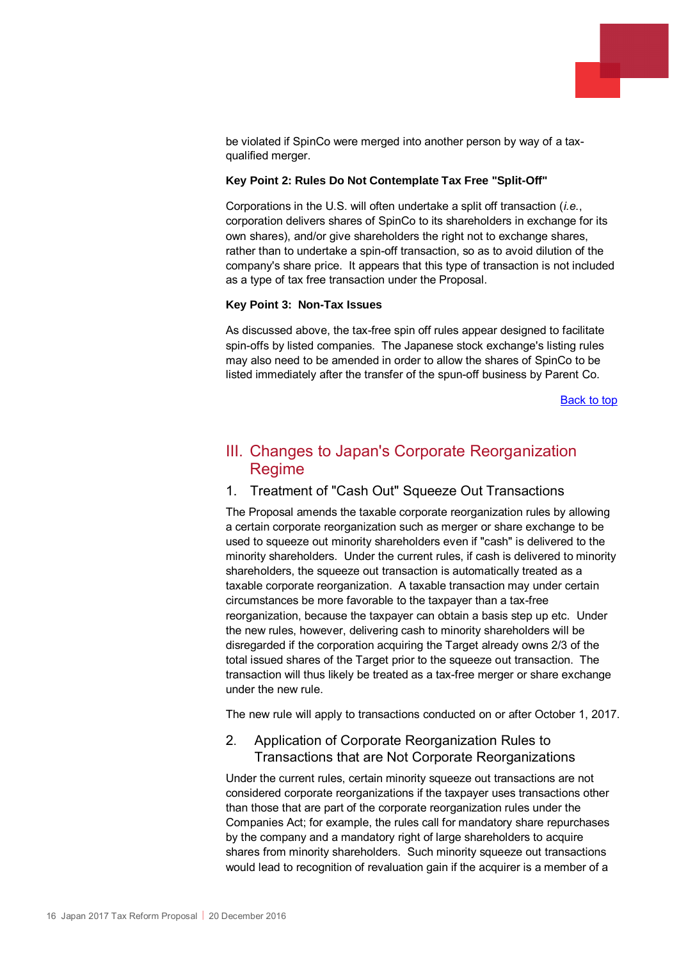

be violated if SpinCo were merged into another person by way of a taxqualified merger.

#### **Key Point 2: Rules Do Not Contemplate Tax Free "Split-Off"**

Corporations in the U.S. will often undertake a split off transaction (*i.e.*, corporation delivers shares of SpinCo to its shareholders in exchange for its own shares), and/or give shareholders the right not to exchange shares, rather than to undertake a spin-off transaction, so as to avoid dilution of the company's share price. It appears that this type of transaction is not included as a type of tax free transaction under the Proposal.

#### **Key Point 3: Non-Tax Issues**

As discussed above, the tax-free spin off rules appear designed to facilitate spin-offs by listed companies. The Japanese stock exchange's listing rules may also need to be amended in order to allow the shares of SpinCo to be listed immediately after the transfer of the spun-off business by Parent Co.

[Back to top](#page-0-0)

# <span id="page-15-0"></span>III. Changes to Japan's Corporate Reorganization **Regime**

### <span id="page-15-1"></span>1. Treatment of "Cash Out" Squeeze Out Transactions

The Proposal amends the taxable corporate reorganization rules by allowing a certain corporate reorganization such as merger or share exchange to be used to squeeze out minority shareholders even if "cash" is delivered to the minority shareholders. Under the current rules, if cash is delivered to minority shareholders, the squeeze out transaction is automatically treated as a taxable corporate reorganization. A taxable transaction may under certain circumstances be more favorable to the taxpayer than a tax-free reorganization, because the taxpayer can obtain a basis step up etc. Under the new rules, however, delivering cash to minority shareholders will be disregarded if the corporation acquiring the Target already owns 2/3 of the total issued shares of the Target prior to the squeeze out transaction. The transaction will thus likely be treated as a tax-free merger or share exchange under the new rule.

The new rule will apply to transactions conducted on or after October 1, 2017.

## <span id="page-15-2"></span>2. Application of Corporate Reorganization Rules to Transactions that are Not Corporate Reorganizations

Under the current rules, certain minority squeeze out transactions are not considered corporate reorganizations if the taxpayer uses transactions other than those that are part of the corporate reorganization rules under the Companies Act; for example, the rules call for mandatory share repurchases by the company and a mandatory right of large shareholders to acquire shares from minority shareholders. Such minority squeeze out transactions would lead to recognition of revaluation gain if the acquirer is a member of a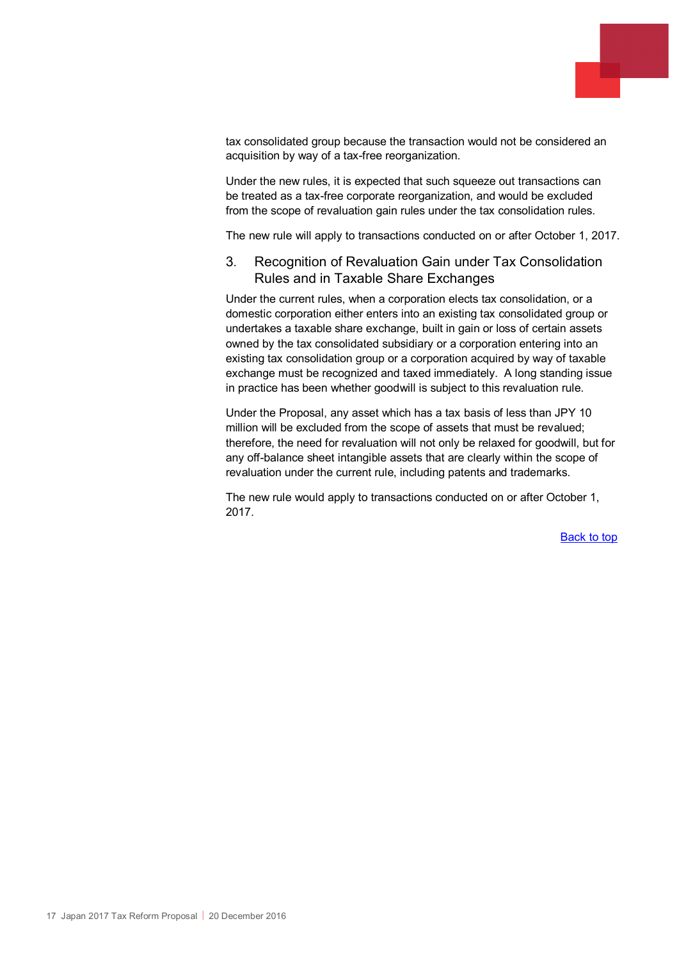

tax consolidated group because the transaction would not be considered an acquisition by way of a tax-free reorganization.

Under the new rules, it is expected that such squeeze out transactions can be treated as a tax-free corporate reorganization, and would be excluded from the scope of revaluation gain rules under the tax consolidation rules.

The new rule will apply to transactions conducted on or after October 1, 2017.

## <span id="page-16-0"></span>3. Recognition of Revaluation Gain under Tax Consolidation Rules and in Taxable Share Exchanges

Under the current rules, when a corporation elects tax consolidation, or a domestic corporation either enters into an existing tax consolidated group or undertakes a taxable share exchange, built in gain or loss of certain assets owned by the tax consolidated subsidiary or a corporation entering into an existing tax consolidation group or a corporation acquired by way of taxable exchange must be recognized and taxed immediately. A long standing issue in practice has been whether goodwill is subject to this revaluation rule.

Under the Proposal, any asset which has a tax basis of less than JPY 10 million will be excluded from the scope of assets that must be revalued; therefore, the need for revaluation will not only be relaxed for goodwill, but for any off-balance sheet intangible assets that are clearly within the scope of revaluation under the current rule, including patents and trademarks.

The new rule would apply to transactions conducted on or after October 1, 2017.

[Back to top](#page-0-0)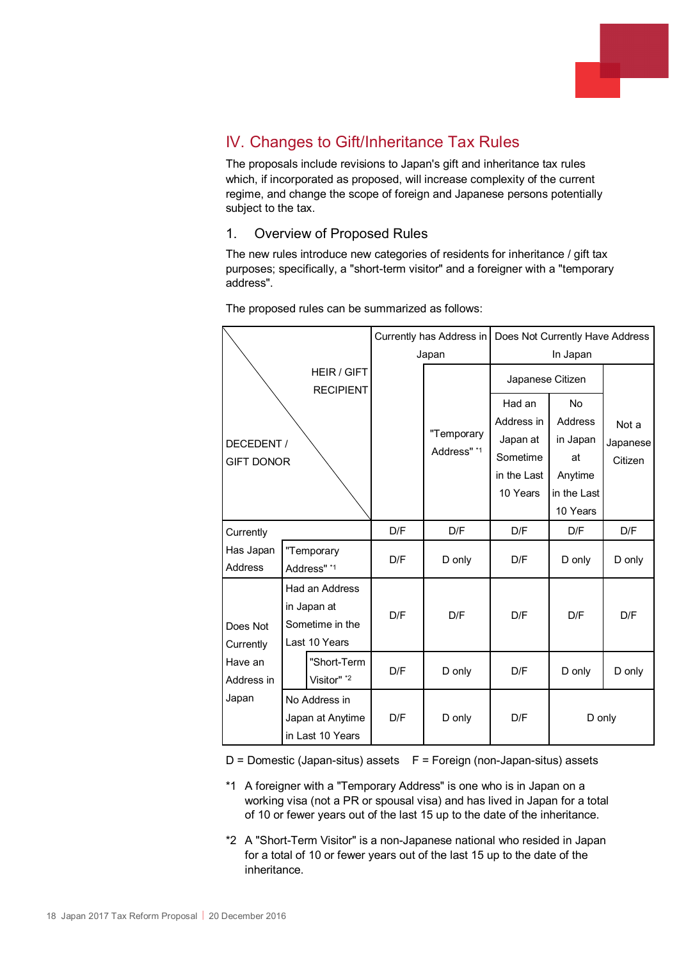

# <span id="page-17-0"></span>IV. Changes to Gift/Inheritance Tax Rules

The proposals include revisions to Japan's gift and inheritance tax rules which, if incorporated as proposed, will increase complexity of the current regime, and change the scope of foreign and Japanese persons potentially subject to the tax.

## 1. Overview of Proposed Rules

The new rules introduce new categories of residents for inheritance / gift tax purposes; specifically, a "short-term visitor" and a foreigner with a "temporary address".

|                                        |                                      |                | Currently has Address in |                           | Does Not Currently Have Address |             |          |
|----------------------------------------|--------------------------------------|----------------|--------------------------|---------------------------|---------------------------------|-------------|----------|
|                                        |                                      |                | Japan                    |                           | In Japan                        |             |          |
| <b>HEIR / GIFT</b><br><b>RECIPIENT</b> |                                      |                |                          |                           | Japanese Citizen                |             |          |
|                                        |                                      |                |                          | "Temporary<br>Address" *1 | Had an                          | <b>No</b>   |          |
|                                        |                                      |                |                          |                           | Address in                      | Address     | Not a    |
| DECEDENT /                             |                                      |                |                          |                           | Japan at                        | in Japan    | Japanese |
| <b>GIFT DONOR</b>                      |                                      |                |                          |                           | Sometime                        | at          | Citizen  |
|                                        |                                      |                |                          |                           | in the Last                     | Anytime     |          |
|                                        |                                      |                |                          |                           | 10 Years                        | in the Last |          |
|                                        |                                      |                |                          |                           |                                 | 10 Years    |          |
| Currently                              |                                      | D/F            | D/F                      | D/F                       | D/F                             | D/F         |          |
| Has Japan<br>"Temporary                |                                      | D/F            |                          | D/F                       |                                 |             |          |
| <b>Address</b>                         |                                      | Address" *1    |                          | D only                    |                                 | D only      | D only   |
|                                        |                                      | Had an Address |                          |                           |                                 |             |          |
|                                        |                                      | in Japan at    | D/F                      | D/F                       | D/F                             | D/F         | D/F      |
| Does Not                               | Sometime in the                      |                |                          |                           |                                 |             |          |
| Currently                              |                                      | Last 10 Years  |                          |                           |                                 |             |          |
| Have an                                |                                      | "Short-Term    |                          |                           |                                 |             |          |
| Address in                             |                                      | Visitor" *2    | D/F                      | D only                    | D/F                             | D only      | D only   |
| Japan<br>No Address in                 |                                      |                |                          |                           |                                 |             |          |
|                                        | Japan at Anytime<br>in Last 10 Years |                | D/F                      | D only                    | D/F                             | D only      |          |
|                                        |                                      |                |                          |                           |                                 |             |          |

The proposed rules can be summarized as follows:

 $D =$  Domestic (Japan-situs) assets  $F =$  Foreign (non-Japan-situs) assets

- \*1 A foreigner with a "Temporary Address" is one who is in Japan on a working visa (not a PR or spousal visa) and has lived in Japan for a total of 10 or fewer years out of the last 15 up to the date of the inheritance.
- \*2 A "Short-Term Visitor" is a non-Japanese national who resided in Japan for a total of 10 or fewer years out of the last 15 up to the date of the inheritance.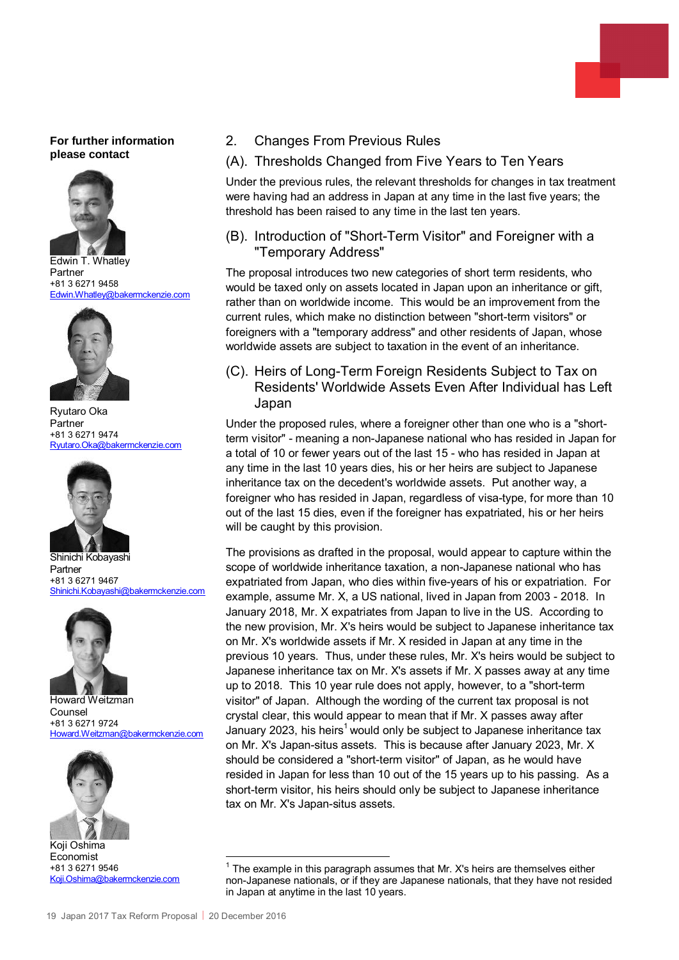#### **For further information please contact**



Edwin T. Whatley Partner +81 3 6271 9458<br>Edwin Whatley@b akermckenzie.com



Ryutaro Oka Partner +81 3 6271 9474 [Ryutaro.Oka@bakermckenzie.com](mailto:Ryutaro.Oka@bakermckenzie.com)



Shinichi Kobayashi Partner +81 3 6271 9467 [Shinichi.Kobayashi@bakermckenzie.com](mailto:Shinichi.Kobayashi@bakermckenzie.com)



Howard Weitzman Counsel +81 3 6271 9724 [Howard.Weitzman@bakermckenzie.com](mailto:Howard.Weitzman@bakermckenzie.com)



Koji Oshima Economist +81 3 6271 9546 [Koji.Oshima@bakermckenzie.com](mailto:Koji.Oshima@bakermckenzie.com)

- 2. Changes From Previous Rules
- (A). Thresholds Changed from Five Years to Ten Years

Under the previous rules, the relevant thresholds for changes in tax treatment were having had an address in Japan at any time in the last five years; the threshold has been raised to any time in the last ten years.

(B). Introduction of "Short-Term Visitor" and Foreigner with a "Temporary Address"

The proposal introduces two new categories of short term residents, who would be taxed only on assets located in Japan upon an inheritance or gift, rather than on worldwide income. This would be an improvement from the current rules, which make no distinction between "short-term visitors" or foreigners with a "temporary address" and other residents of Japan, whose worldwide assets are subject to taxation in the event of an inheritance.

(C). Heirs of Long-Term Foreign Residents Subject to Tax on Residents' Worldwide Assets Even After Individual has Left Japan

Under the proposed rules, where a foreigner other than one who is a "shortterm visitor" - meaning a non-Japanese national who has resided in Japan for a total of 10 or fewer years out of the last 15 - who has resided in Japan at any time in the last 10 years dies, his or her heirs are subject to Japanese inheritance tax on the decedent's worldwide assets. Put another way, a foreigner who has resided in Japan, regardless of visa-type, for more than 10 out of the last 15 dies, even if the foreigner has expatriated, his or her heirs will be caught by this provision.

The provisions as drafted in the proposal, would appear to capture within the scope of worldwide inheritance taxation, a non-Japanese national who has expatriated from Japan, who dies within five-years of his or expatriation. For example, assume Mr. X, a US national, lived in Japan from 2003 - 2018. In January 2018, Mr. X expatriates from Japan to live in the US. According to the new provision, Mr. X's heirs would be subject to Japanese inheritance tax on Mr. X's worldwide assets if Mr. X resided in Japan at any time in the previous 10 years. Thus, under these rules, Mr. X's heirs would be subject to Japanese inheritance tax on Mr. X's assets if Mr. X passes away at any time up to 2018. This 10 year rule does not apply, however, to a "short-term visitor" of Japan. Although the wording of the current tax proposal is not crystal clear, this would appear to mean that if Mr. X passes away after January 2023, his heirs<sup>[1](#page-18-0)</sup> would only be subject to Japanese inheritance tax on Mr. X's Japan-situs assets. This is because after January 2023, Mr. X should be considered a "short-term visitor" of Japan, as he would have resided in Japan for less than 10 out of the 15 years up to his passing. As a short-term visitor, his heirs should only be subject to Japanese inheritance tax on Mr. X's Japan-situs assets.

<span id="page-18-0"></span><sup>1</sup> The example in this paragraph assumes that Mr. X's heirs are themselves either non-Japanese nationals, or if they are Japanese nationals, that they have not resided in Japan at anytime in the last 10 years.